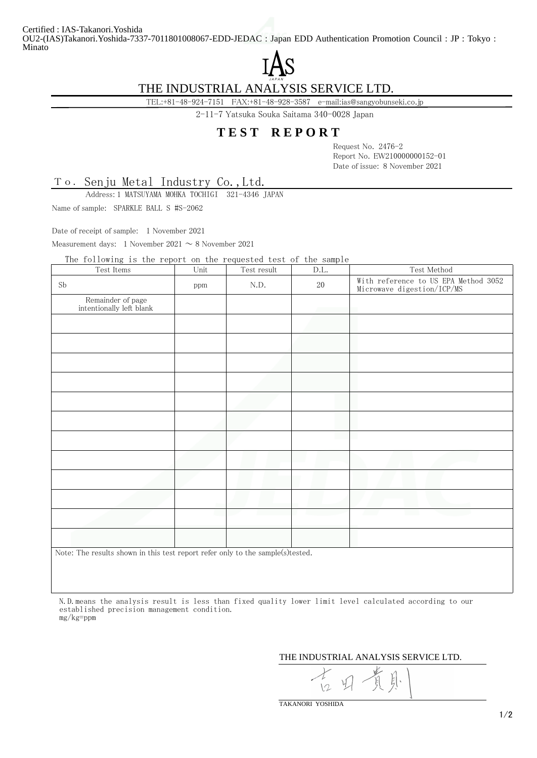Certified : IAS-Takanori.Yoshida OU2-(IAS)Takanori.Yoshida-7337-7011801008067-EDD-JEDAC : Japan EDD Authentication Promotion Council : JP : Tokyo : Minato



## THE INDUSTRIAL ANALYSIS SERVICE LTD.

TEL:+81-48-924-7151 FAX:+81-48-928-3587 e-mail:ias@sangyobunseki.co.jp

2-11-7 Yatsuka Souka Saitama 340-0028 Japan

## **T E S T R E P O R T**

Request No. 2476-2 Report No. EW210000000152-01 Date of issue: 8 November 2021

Senju Metal Industry Co.,Ltd. To.

Address: 1 MATSUYAMA MOHKA TOCHIGI 321-4346 JAPAN

Name of sample: SPARKLE BALL S #S-2062

Date of receipt of sample: 1 November 2021

Measurement days: 1 November 2021  $\sim 8$  November 2021

The following is the report on the requested test of the sample

| Test Items                                                                     | Unit | Test result | D.L.   | Test Method                                                        |  |
|--------------------------------------------------------------------------------|------|-------------|--------|--------------------------------------------------------------------|--|
| Sb                                                                             | ppm  | N.D.        | $20\,$ | With reference to US EPA Method 3052<br>Microwave digestion/ICP/MS |  |
| Remainder of page<br>intentionally left blank                                  |      |             |        |                                                                    |  |
|                                                                                |      |             |        |                                                                    |  |
|                                                                                |      |             |        |                                                                    |  |
|                                                                                |      |             |        |                                                                    |  |
|                                                                                |      |             |        |                                                                    |  |
|                                                                                |      |             |        |                                                                    |  |
|                                                                                |      |             |        |                                                                    |  |
|                                                                                |      |             |        |                                                                    |  |
|                                                                                |      |             |        |                                                                    |  |
|                                                                                |      |             |        |                                                                    |  |
|                                                                                |      |             |        |                                                                    |  |
|                                                                                |      |             |        |                                                                    |  |
|                                                                                |      |             |        |                                                                    |  |
| Note: The results shown in this test report refer only to the sample(s)tested. |      |             |        |                                                                    |  |

 N.D.means the analysis result is less than fixed quality lower limit level calculated according to our established precision management condition. mg/kg=ppm

THE INDUSTRIAL ANALYSIS SERVICE LTD.

TAKANORI YOSHIDA